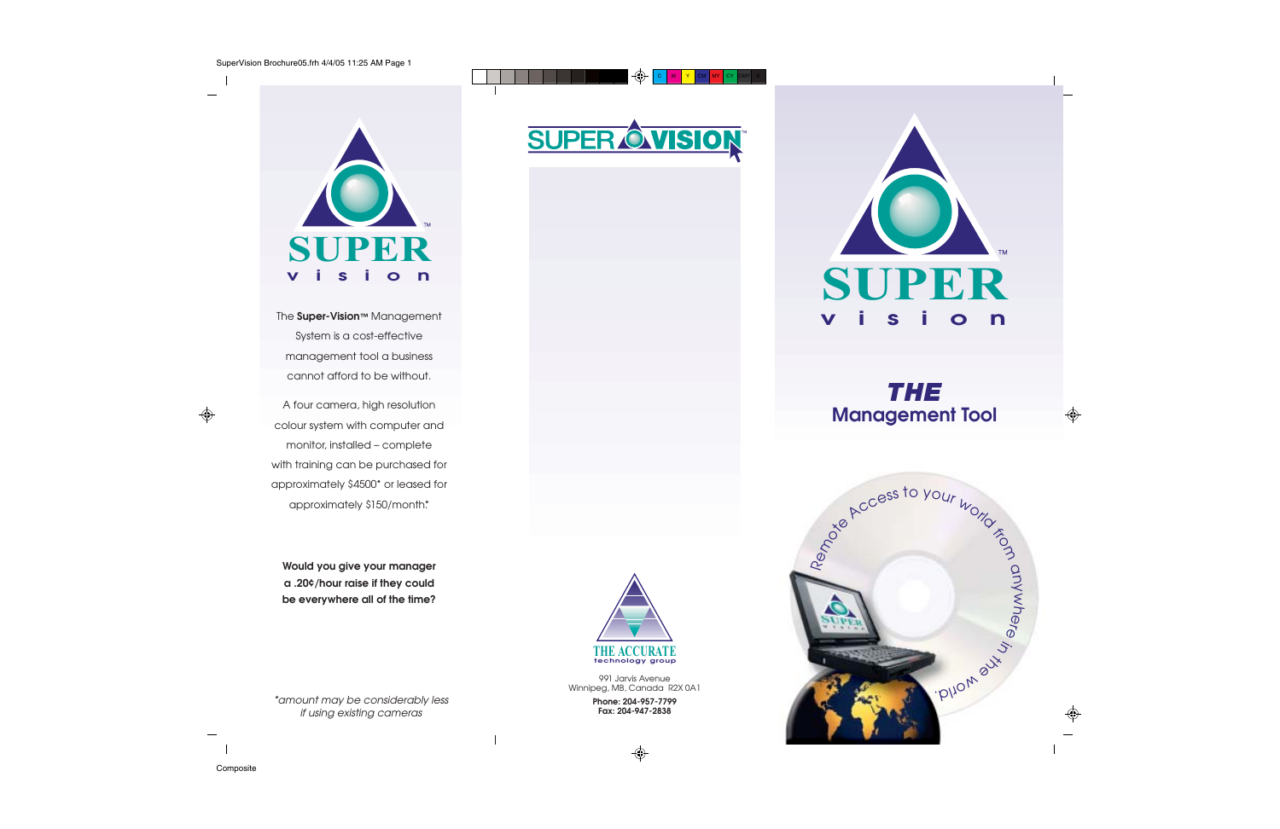

The **Super-Vision™** Management System is a cost-effective management tool a business cannot afford to be without.

A four camera, high resolution colour system with computer and monitor, installed – complete with training can be purchased for approximately \$4500\* or leased for approximately \$150/month.\*

**Would you give your manager a .20¢/hour raise if they could be everywhere all of the time?**





\*amount may be considerably less if using existing cameras

**Fax: 204-947-2838**



### *THE* **Management Tool**